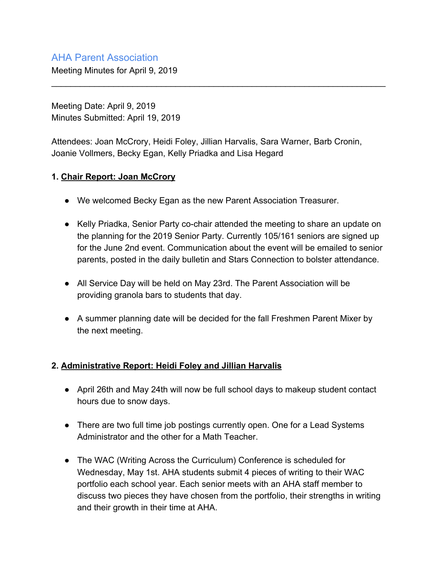# AHA Parent Association

Meeting Minutes for April 9, 2019

Meeting Date: April 9, 2019 Minutes Submitted: April 19, 2019

Attendees: Joan McCrory, Heidi Foley, Jillian Harvalis, Sara Warner, Barb Cronin, Joanie Vollmers, Becky Egan, Kelly Priadka and Lisa Hegard

\_\_\_\_\_\_\_\_\_\_\_\_\_\_\_\_\_\_\_\_\_\_\_\_\_\_\_\_\_\_\_\_\_\_\_\_\_\_\_\_\_\_\_\_\_\_\_\_\_\_\_\_\_\_\_\_\_\_\_\_\_\_\_\_\_\_\_\_\_\_

#### **1. Chair Report: Joan McCrory**

- We welcomed Becky Egan as the new Parent Association Treasurer.
- Kelly Priadka, Senior Party co-chair attended the meeting to share an update on the planning for the 2019 Senior Party. Currently 105/161 seniors are signed up for the June 2nd event. Communication about the event will be emailed to senior parents, posted in the daily bulletin and Stars Connection to bolster attendance.
- All Service Day will be held on May 23rd. The Parent Association will be providing granola bars to students that day.
- A summer planning date will be decided for the fall Freshmen Parent Mixer by the next meeting.

## **2. Administrative Report: Heidi Foley and Jillian Harvalis**

- April 26th and May 24th will now be full school days to makeup student contact hours due to snow days.
- There are two full time job postings currently open. One for a Lead Systems Administrator and the other for a Math Teacher.
- The WAC (Writing Across the Curriculum) Conference is scheduled for Wednesday, May 1st. AHA students submit 4 pieces of writing to their WAC portfolio each school year. Each senior meets with an AHA staff member to discuss two pieces they have chosen from the portfolio, their strengths in writing and their growth in their time at AHA.